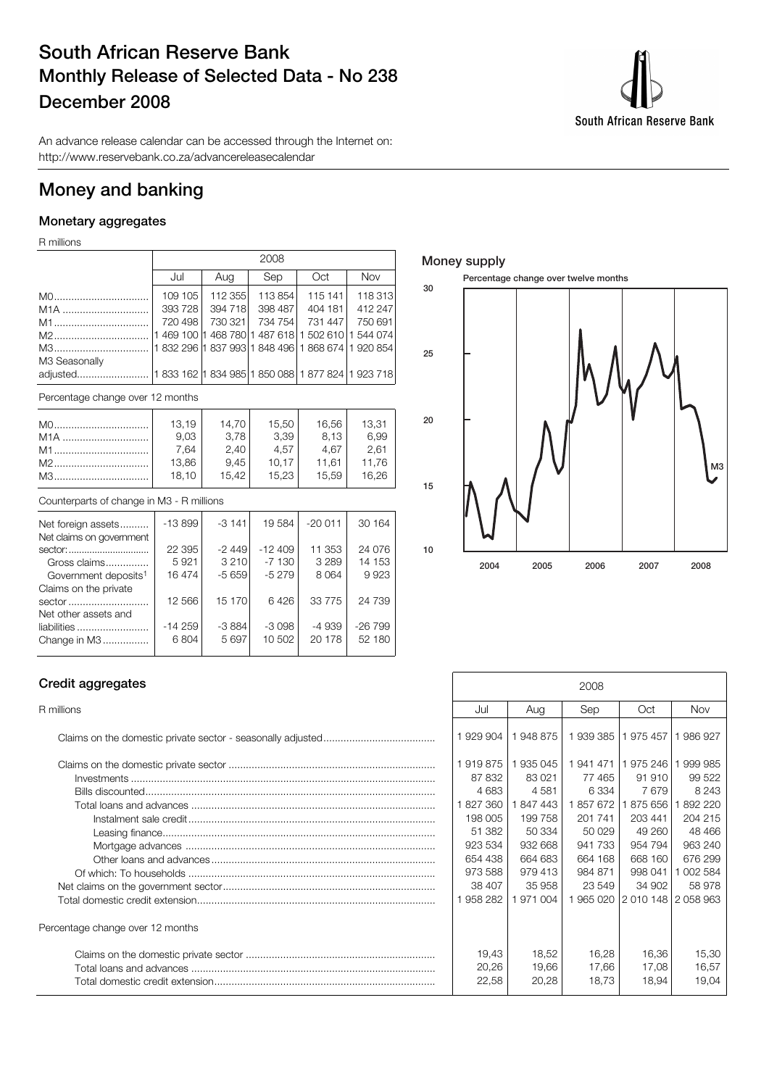## South African Reserve Bank Monthly Release of Selected Data - No 238 December 2008

South African Reserve Bank

An advance release calendar can be accessed through the Internet on: http://www.reservebank.co.za/advancereleasecalendar

## Money and banking

### Monetary aggregates

R millions

|               |         |         | 2008    |                                                    |         |
|---------------|---------|---------|---------|----------------------------------------------------|---------|
|               | Jul     | Aug     | Sep     | Oct                                                | Nov     |
|               | 109 105 | 112 355 | 113 854 | 115 141                                            | 118 313 |
|               | 393728  | 394 718 | 398 487 | 404 181                                            | 412 247 |
|               | 720 498 | 730 321 | 734 754 | 731 447                                            | 750 691 |
|               |         |         |         | 1 469 100 1 468 780 1 487 618 1 502 610 1 544 074  |         |
| M3            |         |         |         | 11 832 296 1 837 993 1 848 496 1 868 674 1 920 854 |         |
| M3 Seasonally |         |         |         |                                                    |         |
|               |         |         |         |                                                    |         |
|               |         |         |         |                                                    |         |

Percentage change over 12 months

|                  | 13,19 | 14.70 | 15,50 | 16,56 | 13,31 |
|------------------|-------|-------|-------|-------|-------|
| M <sub>1</sub> A | 9,03  | 3,78  | 3,39  | 8.13  | 6.99  |
| M1               | 7.64  | 2,40  | 4.57  | 4.67  | 2.61  |
|                  | 13,86 | 9,45  | 10.17 | 11.61 | 11.76 |
| M3               | 18.10 | 15.42 | 15.23 | 15.59 | 16.26 |

#### Counterparts of change in M3 - R millions

| Net foreign assets               | $-13899$ | $-3141$ | 19584    | $-20.011$ | 30 164   |
|----------------------------------|----------|---------|----------|-----------|----------|
| Net claims on government         |          |         |          |           |          |
| sector:                          | 22 3 95  | $-2449$ | $-12409$ | 11 353    | 24 0 76  |
| Gross claims                     | 5921     | 3 2 1 0 | $-7130$  | 3 2 8 9   | 14 153   |
| Government deposits <sup>1</sup> | 16474    | $-5659$ | $-5279$  | 8064      | 9923     |
| Claims on the private            |          |         |          |           |          |
| sector                           | 12 566   | 15 170  | 6426     | 33 775    | 24 739   |
| Net other assets and             |          |         |          |           |          |
| liabilities                      | $-14259$ | $-3884$ | $-3098$  | -4 939    | $-26799$ |
| Change in M3                     | 6804     | 5697    | 10 502   | 20178     | 52 180   |
|                                  |          |         |          |           |          |

#### Money supply



### Credit aggregates

| Percentage change over 12 months |
|----------------------------------|
|                                  |
|                                  |
|                                  |
|                                  |

| Credit aggregates                                     | 2008              |                    |                      |                                |                    |
|-------------------------------------------------------|-------------------|--------------------|----------------------|--------------------------------|--------------------|
| R millions                                            | Jul               | Aug                | Sep                  | Oct                            | <b>Nov</b>         |
|                                                       | 1929904           | 1948875            | 1939 385 1975 457    |                                | 986927             |
|                                                       | 1919875<br>87 832 | 1935045<br>83 0 21 | 77465                | 1 941 471   1 975 246<br>91910 | 999 985<br>99 522  |
|                                                       | 4683<br>827 360   | 4581<br>1847443    | 6 3 3 4<br>1 857 672 | 7679<br>875 656                | 8 2 4 3<br>892 220 |
|                                                       | 198 005           | 199758             | 201 741              | 203 441                        | 204 215            |
|                                                       | 51 382<br>923 534 | 50 334<br>932 668  | 50 029<br>941 733    | 49 260<br>954 794              | 48 4 66<br>963 240 |
|                                                       | 654 438           | 664 683            | 664 168              | 668 160                        | 676 299            |
|                                                       | 973 588<br>38 407 | 979 413<br>35 958  | 984 871<br>23 549    | 998 041<br>34 902              | 002 584<br>58 978  |
|                                                       | 958 282           | 1971004            |                      | 1965 020 2010 148 2058 963     |                    |
| Percentage change over 12 months                      |                   |                    |                      |                                |                    |
| Total loans and advances ………………………………………………………………………… | 19,43<br>20,26    | 18,52<br>19,66     | 16,28<br>17,66       | 16,36<br>17,08                 | 15,30<br>16,57     |
|                                                       | 22,58             | 20,28              | 18.73                | 18,94                          | 19,04              |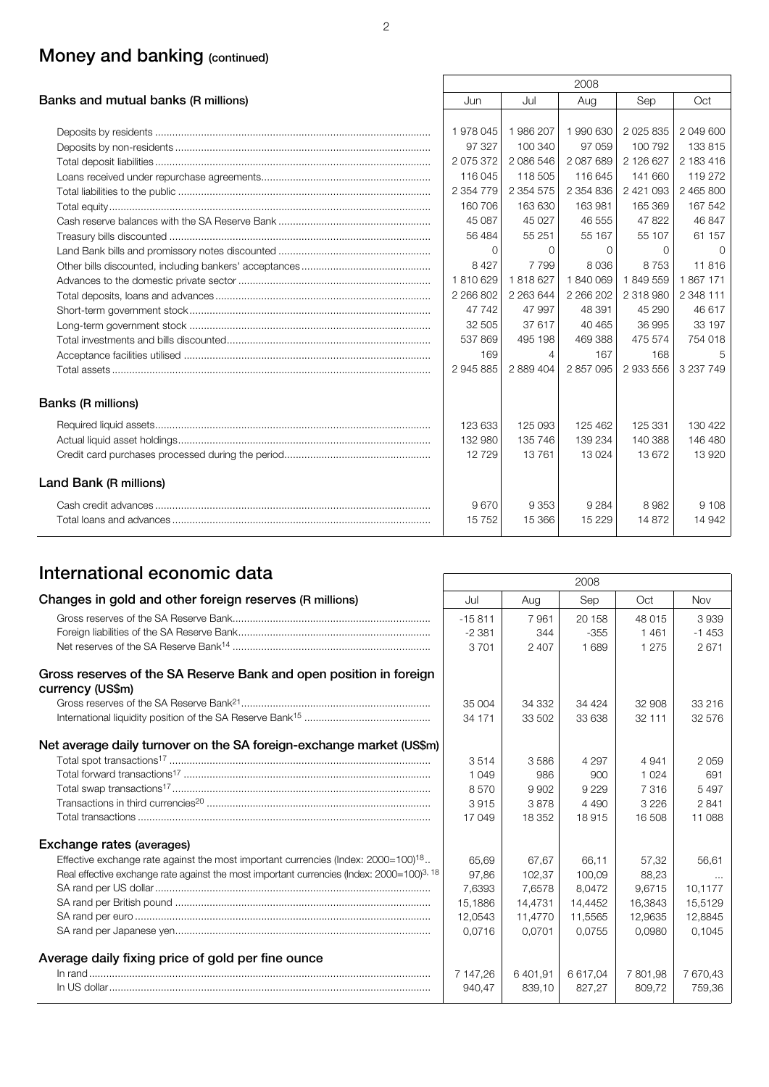## Money and banking (continued)

|                                     |               |               | 2008      |               |           |
|-------------------------------------|---------------|---------------|-----------|---------------|-----------|
| Banks and mutual banks (R millions) | Jun           | Jul           | Aug       | Sep           | Oct       |
|                                     |               |               |           |               |           |
|                                     | 1978045       | 1986 207      | 1 990 630 | 2 0 2 5 8 3 5 | 2 049 600 |
|                                     | 97 327        | 100 340       | 97 059    | 100 792       | 133 815   |
|                                     | 2 075 372     | 2 086 546     | 2 087 689 | 2 126 627     | 2 183 416 |
|                                     | 116 045       | 118 505       | 116 645   | 141 660       | 119 272   |
|                                     | 2 3 5 4 7 7 9 | 2 3 5 4 5 7 5 | 2 354 836 | 2 4 2 1 0 9 3 | 2 465 800 |
|                                     | 160 706       | 163 630       | 163 981   | 165 369       | 167 542   |
|                                     | 45 087        | 45 0 27       | 46 555    | 47822         | 46 847    |
|                                     | 56 484        | 55 251        | 55 167    | 55 107        | 61 157    |
|                                     | $\Omega$      | $\Omega$      | $\Omega$  | $\Omega$      | $\Omega$  |
|                                     | 8 4 2 7       | 7799          | 8036      | 8753          | 11816     |
|                                     | 1810629       | 1818627       | 1840069   | 1849559       | 1867171   |
|                                     | 2 266 802     | 2 263 644     | 2 266 202 | 2 318 980     | 2 348 111 |
|                                     | 47 742        | 47 997        | 48 391    | 45 290        | 46 617    |
|                                     | 32 505        | 37 617        | 40 4 65   | 36 995        | 33 197    |
|                                     | 537869        | 495 198       | 469 388   | 475 574       | 754 018   |
|                                     | 169           | 4             | 167       | 168           | 5         |
|                                     | 2 945 885     | 2 889 404     | 2 857 095 | 2 933 556     | 3 237 749 |
| Banks (R millions)                  |               |               |           |               |           |
|                                     | 123 633       | 125 093       | 125 462   | 125 331       | 130 422   |
|                                     | 132 980       | 135 746       | 139 234   | 140 388       | 146 480   |
|                                     | 12729         | 13761         | 13024     | 13672         | 13920     |
| Land Bank (R millions)              |               |               |           |               |           |
|                                     | 9670          | 9 3 5 3       | 9 2 8 4   | 8982          | 9 1 0 8   |
|                                     | 15752         | 15 366        | 15 2 29   | 14 872        | 14 942    |

## International economic data 2008

|                                                                                                       |           |         | ZUUO     |          |          |
|-------------------------------------------------------------------------------------------------------|-----------|---------|----------|----------|----------|
| Changes in gold and other foreign reserves (R millions)                                               | Jul       | Aug     | Sep      | Oct      | Nov      |
|                                                                                                       | $-15.811$ | 7961    | 20 158   | 48 015   | 3939     |
|                                                                                                       | $-2.381$  | 344     | $-355$   | 1461     | $-1453$  |
|                                                                                                       | 3701      | 2 4 0 7 | 1689     | 1 2 7 5  | 2671     |
| Gross reserves of the SA Reserve Bank and open position in foreign<br>currency (US\$m)                |           |         |          |          |          |
|                                                                                                       | 35 004    | 34 332  | 34 4 24  | 32 908   | 33 216   |
|                                                                                                       | 34 171    | 33 502  | 33 638   | 32 111   | 32 576   |
| Net average daily turnover on the SA foreign-exchange market (US\$m)                                  |           |         |          |          |          |
|                                                                                                       | 3514      | 3586    | 4 2 9 7  | 4 9 4 1  | 2059     |
|                                                                                                       | 1 0 4 9   | 986     | 900      | 1 0 2 4  | 691      |
|                                                                                                       | 8570      | 9902    | 9 2 2 9  | 7316     | 5497     |
|                                                                                                       | 3915      | 3878    | 4 4 9 0  | 3 2 2 6  | 2841     |
|                                                                                                       | 17049     | 18 352  | 18915    | 16 508   | 11 088   |
| Exchange rates (averages)                                                                             |           |         |          |          |          |
| Effective exchange rate against the most important currencies (Index: 2000=100) <sup>18</sup>         | 65.69     | 67.67   | 66.11    | 57.32    | 56.61    |
| Real effective exchange rate against the most important currencies (Index: 2000=100) <sup>3, 18</sup> | 97.86     | 102.37  | 100.09   | 88.23    | $\cdots$ |
|                                                                                                       | 7.6393    | 7.6578  | 8.0472   | 9.6715   | 10.1177  |
|                                                                                                       | 15,1886   | 14,4731 | 14,4452  | 16,3843  | 15,5129  |
|                                                                                                       | 12,0543   | 11,4770 | 11,5565  | 12,9635  | 12,8845  |
|                                                                                                       | 0.0716    | 0.0701  | 0.0755   | 0.0980   | 0.1045   |
| Average daily fixing price of gold per fine ounce                                                     |           |         |          |          |          |
|                                                                                                       | 7 147,26  | 6401,91 | 6 617,04 | 7 801,98 | 7 670,43 |
|                                                                                                       | 940.47    | 839.10  | 827.27   | 809.72   | 759.36   |

 $\overline{\phantom{a}}$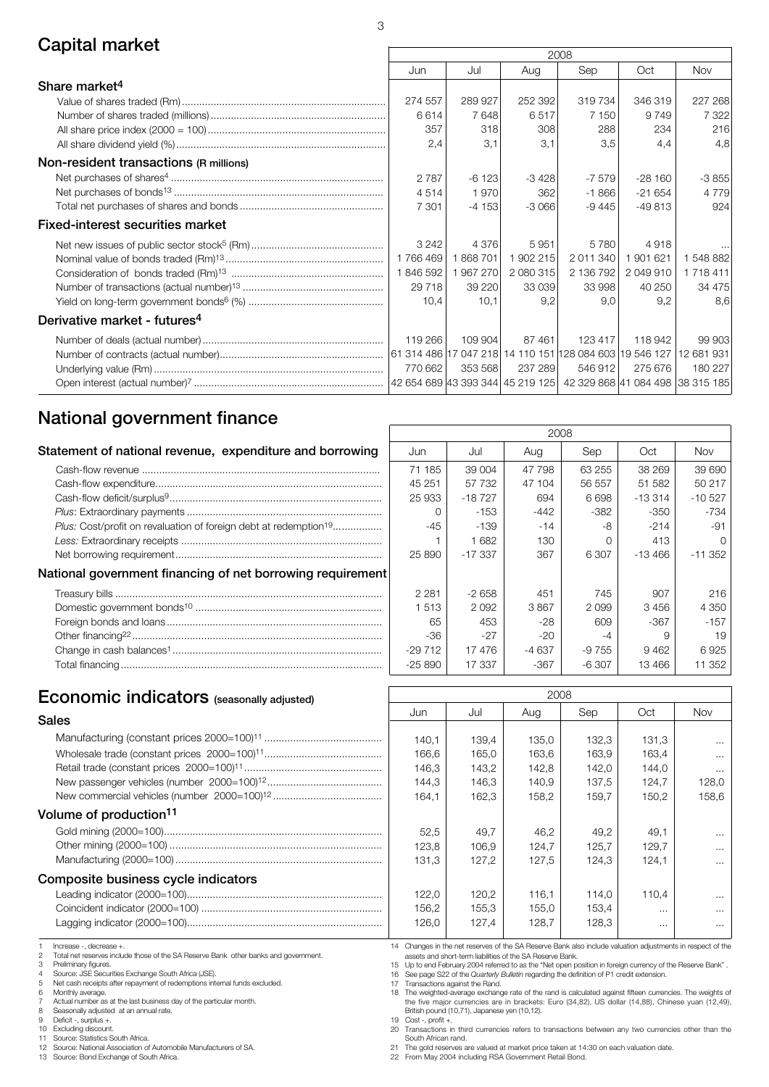## Capital market 2008

|                                          |                                     |         |           | ZUUO                                                    |           |            |
|------------------------------------------|-------------------------------------|---------|-----------|---------------------------------------------------------|-----------|------------|
|                                          | Jun                                 | Jul     | Aug       | Sep                                                     | Oct       | <b>Nov</b> |
| Share market <sup>4</sup>                |                                     |         |           |                                                         |           |            |
|                                          | 274 557                             | 289 927 | 252 392   | 319734                                                  | 346 319   | 227 268    |
|                                          | 6614                                | 7648    | 6517      | 7 150                                                   | 9749      | 7 3 2 2    |
|                                          | 357                                 | 318     | 308       | 288                                                     | 234       | 216        |
|                                          | 2,4                                 | 3,1     | 3,1       | 3,5                                                     | 4.4       | 4.8        |
| Non-resident transactions (R millions)   |                                     |         |           |                                                         |           |            |
|                                          | 2787                                | $-6123$ | $-3428$   | $-7579$                                                 | $-28160$  | $-3855$    |
|                                          | 4514                                | 1970    | 362       | $-1866$                                                 | $-21654$  | 4 7 7 9    |
|                                          | 7 3 0 1                             | $-4153$ | $-3066$   | $-9445$                                                 | $-49813$  | 924        |
| <b>Fixed-interest securities market</b>  |                                     |         |           |                                                         |           |            |
|                                          | 3 2 4 2                             | 4 3 7 6 | 5951      | 5 7 8 0                                                 | 4918      |            |
|                                          | 1766469                             | 1868701 | 1 902 215 | 2 011 340                                               | 1901621   | 1 548 882  |
|                                          | 1846592                             | 1967270 | 2 080 315 | 2 136 792                                               | 2 049 910 | 1 718 411  |
|                                          | 29 7 18                             | 39 2 20 | 33 039    | 33 998                                                  | 40 250    | 34 475     |
|                                          | 10.4                                | 10.1    | 9.2       | 9.0                                                     | 9,2       | 8.6        |
| Derivative market - futures <sup>4</sup> |                                     |         |           |                                                         |           |            |
|                                          | 119 266                             | 109 904 | 87 461    | 123 417                                                 | 118 942   | 99 903     |
|                                          |                                     |         |           | 61 314 486 17 047 218 14 110 151 128 084 603 19 546 127 |           | 12 681 931 |
|                                          | 770 662                             | 353 568 | 237 289   | 546 912                                                 | 275 676   | 180 227    |
|                                          | 42 654 689  43 393 344   45 219 125 |         |           | 42 329 868 41 084 498 38 315 185                        |           |            |

 $\sqrt{ }$ 

## National government finance

| Statement of national revenue, expenditure and borrowing                     | Jun      | Jul       | Aug    | Sep     | Oct       | Nov             |
|------------------------------------------------------------------------------|----------|-----------|--------|---------|-----------|-----------------|
|                                                                              | 71 185   | 39 004    | 47 798 | 63 255  | 38 269    | 396             |
|                                                                              | 45 251   | 57 732    | 47 104 | 56 557  | 51 582    | 50 <sub>2</sub> |
|                                                                              | 25 933   | $-18727$  | 694    | 6698    | $-13314$  | $-105$          |
|                                                                              |          | $-153$    | $-442$ | $-382$  | $-350$    | $-7$            |
| Plus: Cost/profit on revaluation of foreign debt at redemption <sup>19</sup> | $-45$    | -139      | $-14$  | -8      | $-214$    |                 |
|                                                                              |          | 1682      | 130    |         | 413       |                 |
|                                                                              | 25 890   | $-17.337$ | 367    | 6 307   | $-13,466$ | $-11.3$         |
| National government financing of net borrowing requirement                   |          |           |        |         |           |                 |
|                                                                              | 2 2 8 1  | $-2658$   | 451    | 745     | 907       |                 |
|                                                                              | 1513     | 2092      | 3867   | 2099    | 3456      | 43              |
|                                                                              | 65       | 453       | -28    | 609     | -367      |                 |
|                                                                              | -36      | $-27$     | $-20$  | -4      |           |                 |
|                                                                              | $-29712$ | 17476     | -4 637 | -9 755  | 9462      | 69              |
|                                                                              | $-25890$ | 17 337    | $-367$ | $-6307$ | 13466     | 11 <sup>°</sup> |
|                                                                              |          |           |        |         |           |                 |

|          |          | 2008   |         |          |          |
|----------|----------|--------|---------|----------|----------|
| Jun      | Jul      | Aug    | Sep     | Oct      | Nov      |
| 71 185   | 39 004   | 47 798 | 63 255  | 38 269   | 39 690   |
| 45 251   | 57 732   | 47 104 | 56 557  | 51 582   | 50 217   |
| 25 933   | $-18727$ | 694    | 6698    | $-13314$ | $-10527$ |
| O        | $-153$   | $-442$ | -382    | -350     | $-734$   |
| -45      | -139     | $-14$  | -8      | $-214$   | -91      |
| 1        | 1682     | 130    | ∩       | 413      | Ω        |
| 25 890   | $-17337$ | 367    | 6 307   | $-13466$ | $-11352$ |
|          |          |        |         |          |          |
| 2 2 8 1  | $-2658$  | 451    | 745     | 907      | 216      |
| 1513     | 2092     | 3867   | 2099    | 3456     | 4 3 5 0  |
| 65       | 453      | -28    | 609     | -367     | $-157$   |
| -36      | -27      | -20    | $-4$    | 9        | 19       |
| $-29712$ | 17476    | -4 637 | $-9755$ | 9462     | 6925     |
| $-25890$ | 17 337   | -367   | $-6307$ | 13466    | 11 352   |

# Economic indicators <sup>2008</sup> (seasonally adjusted)

| Sales | Jun   | Jul   | Aua   | Sep   | Oct   | Nov             |
|-------|-------|-------|-------|-------|-------|-----------------|
|       |       |       |       |       |       |                 |
|       | 140.1 | 139.4 | 135.0 | 132.3 | 131.3 |                 |
|       | 166.6 | 165.0 | 163.6 | 163.9 | 163.4 |                 |
|       | 146.3 | 143.2 | 142.8 | 142.0 | 144.0 |                 |
|       | 144.3 | 146.3 | 140.9 | 137.5 | 124.7 | 12              |
|       | 164.1 | 162.3 | 158.2 | 159.7 | 150.2 | 15 <sub>i</sub> |
|       |       |       |       |       |       |                 |

### Volume of production11

#### Composite business cycle indicators

Increase -, decrease +

2 Total net reserves include those of the SA Reserve Bank other banks and government.<br>3 Preliminary figures

Preliminary figures.

4 Source: JSE Securities Exchange South Africa (JSE). 5 Net cash receipts after repayment of redemptions internal funds excluded.

6 Monthly average.

7 Actual number as at the last business day of the particular month.<br>8 Seasonally adjusted at an annual rate.

8 Seasonally adjusted at an annual rate.

9 Deficit -, surplus +. 10 Excluding discount.

11 Source: Statistics South Africa. 12 Source: National Association of Automobile Manufacturers of SA.

13 Source: Bond Exchange of South Africa.

14 Changes in the net reserves of the SA Reserve Bank also include valuation adjustments in respect of the assets and short-term liabilities of the SA Reserve Bank.

52,5 | 49,7 | 46,2 | 49,2 | 49,1 | ...  $123,8$  106,9 124,7 125,7 129,7 ... 131,3 | 127,2 | 127,5 | 124,3 | 124,1 | ...

122,0 | 120,2 | 116,1 | 114,0 | 110,4 | ... 156,2 155,3 155,0 153,4 ... ...  $126,0$  127,4 128,7 128,3 ... ...

15 Up to end February 2004 referred to as the "Net open position in foreign currency of the Reserve Bank" . 16 See page S22 of the *Quarterly Bulletin* regarding the definition of P1 credit extension.<br>17 Transactions against the Rand.

17 Transactions against the Rand. 18 The weighted-average exchange rate of the rand is calculated against fifteen currencies. The weights of the five major currencies are in brackets: Euro (34,82), US dollar (14,88), Chinese yuan (12,49), British pound (10,71), Japanese yen (10,12).

19 Cost -, profit +. 20 Transactions in third currencies refers to transactions between any two currencies other than the

South African rand. 21 The gold reserves are valued at market price taken at 14:30 on each valuation date.

22 From May 2004 including RSA Government Retail Bond.